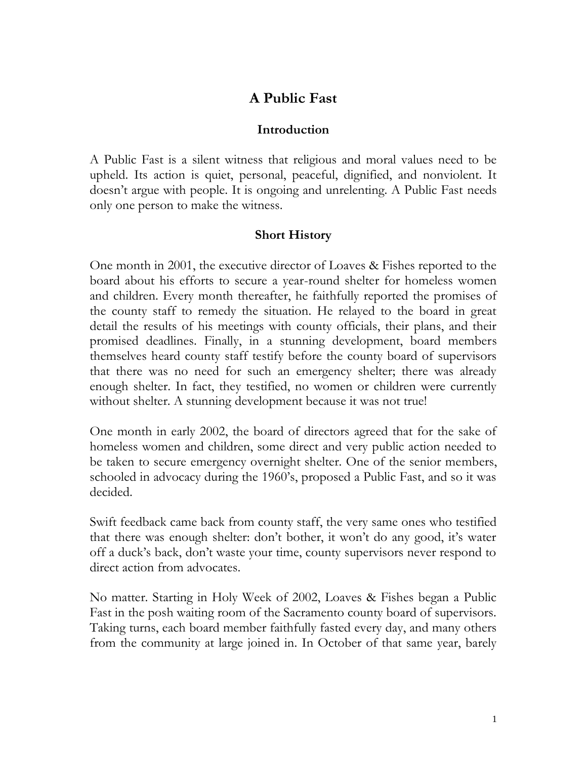# **A Public Fast**

#### **Introduction**

A Public Fast is a silent witness that religious and moral values need to be upheld. Its action is quiet, personal, peaceful, dignified, and nonviolent. It doesn't argue with people. It is ongoing and unrelenting. A Public Fast needs only one person to make the witness.

## **Short History**

One month in 2001, the executive director of Loaves & Fishes reported to the board about his efforts to secure a year-round shelter for homeless women and children. Every month thereafter, he faithfully reported the promises of the county staff to remedy the situation. He relayed to the board in great detail the results of his meetings with county officials, their plans, and their promised deadlines. Finally, in a stunning development, board members themselves heard county staff testify before the county board of supervisors that there was no need for such an emergency shelter; there was already enough shelter. In fact, they testified, no women or children were currently without shelter. A stunning development because it was not true!

One month in early 2002, the board of directors agreed that for the sake of homeless women and children, some direct and very public action needed to be taken to secure emergency overnight shelter. One of the senior members, schooled in advocacy during the 1960's, proposed a Public Fast, and so it was decided.

Swift feedback came back from county staff, the very same ones who testified that there was enough shelter: don't bother, it won't do any good, it's water off a duck's back, don't waste your time, county supervisors never respond to direct action from advocates.

No matter. Starting in Holy Week of 2002, Loaves & Fishes began a Public Fast in the posh waiting room of the Sacramento county board of supervisors. Taking turns, each board member faithfully fasted every day, and many others from the community at large joined in. In October of that same year, barely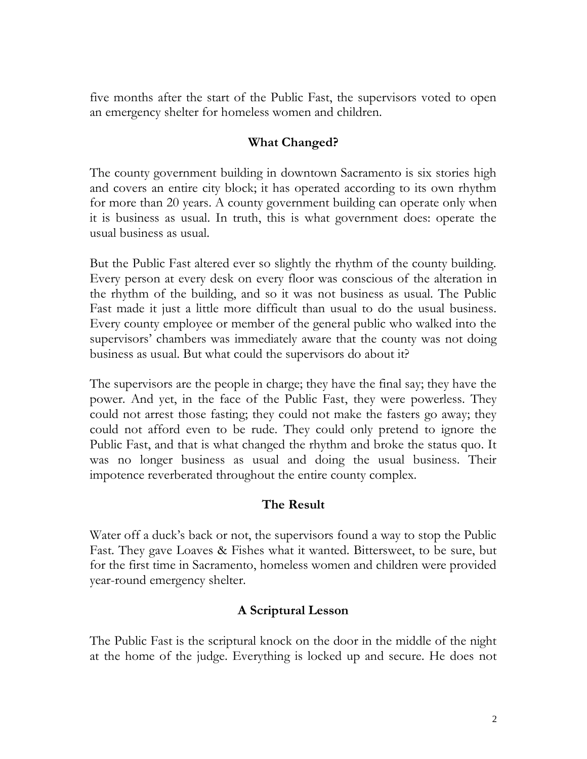five months after the start of the Public Fast, the supervisors voted to open an emergency shelter for homeless women and children.

### **What Changed?**

The county government building in downtown Sacramento is six stories high and covers an entire city block; it has operated according to its own rhythm for more than 20 years. A county government building can operate only when it is business as usual. In truth, this is what government does: operate the usual business as usual.

But the Public Fast altered ever so slightly the rhythm of the county building. Every person at every desk on every floor was conscious of the alteration in the rhythm of the building, and so it was not business as usual. The Public Fast made it just a little more difficult than usual to do the usual business. Every county employee or member of the general public who walked into the supervisors' chambers was immediately aware that the county was not doing business as usual. But what could the supervisors do about it?

The supervisors are the people in charge; they have the final say; they have the power. And yet, in the face of the Public Fast, they were powerless. They could not arrest those fasting; they could not make the fasters go away; they could not afford even to be rude. They could only pretend to ignore the Public Fast, and that is what changed the rhythm and broke the status quo. It was no longer business as usual and doing the usual business. Their impotence reverberated throughout the entire county complex.

## **The Result**

Water off a duck's back or not, the supervisors found a way to stop the Public Fast. They gave Loaves & Fishes what it wanted. Bittersweet, to be sure, but for the first time in Sacramento, homeless women and children were provided year-round emergency shelter.

## **A Scriptural Lesson**

The Public Fast is the scriptural knock on the door in the middle of the night at the home of the judge. Everything is locked up and secure. He does not